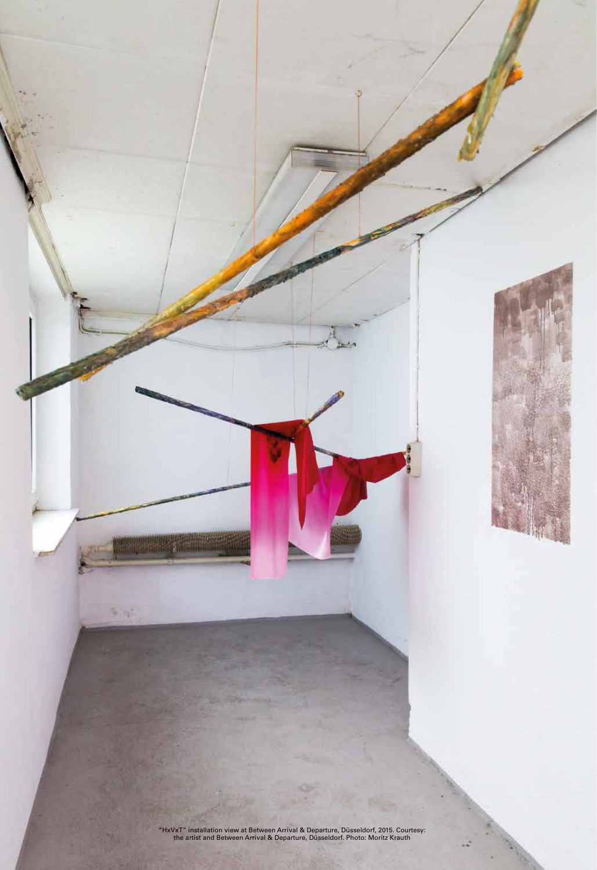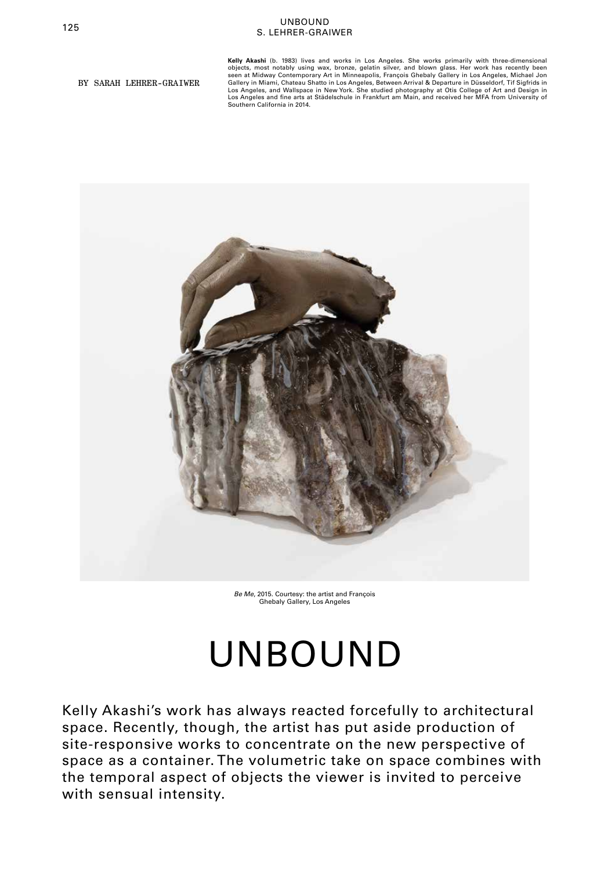# <sup>125</sup> UNBOUND S. LEHRER-GRAIWER

BY SARAH LEHRER-GRAIWER

**Kelly Akashi** (b. 1983) lives and works in Los Angeles. She works primarily with three-dimensional objects, most notably using wax, bronze, gelatin silver, and blown glass. Her work has recently been seen at Midway Contemporary Art in Minneapolis, François Ghebaly Gallery in Los Angeles, Michael Jon Gallery in Miami, Chateau Shatto in Los Angeles, Between Arrival & Departure in Düsseldorf, Tif Sigfrids in Los Angeles, and Wallspace in New York. She studied photography at Otis College of Art and Design in Los Angeles and fine arts at Städelschule in Frankfurt am Main, and received her MFA from University of Southern California in 2014.



*Be Me*, 2015. Courtesy: the artist and François Ghebaly Gallery, Los Angeles

# UNBOUND

Kelly Akashi's work has always reacted forcefully to architectural space. Recently, though, the artist has put aside production of site-responsive works to concentrate on the new perspective of space as a container. The volumetric take on space combines with the temporal aspect of objects the viewer is invited to perceive with sensual intensity.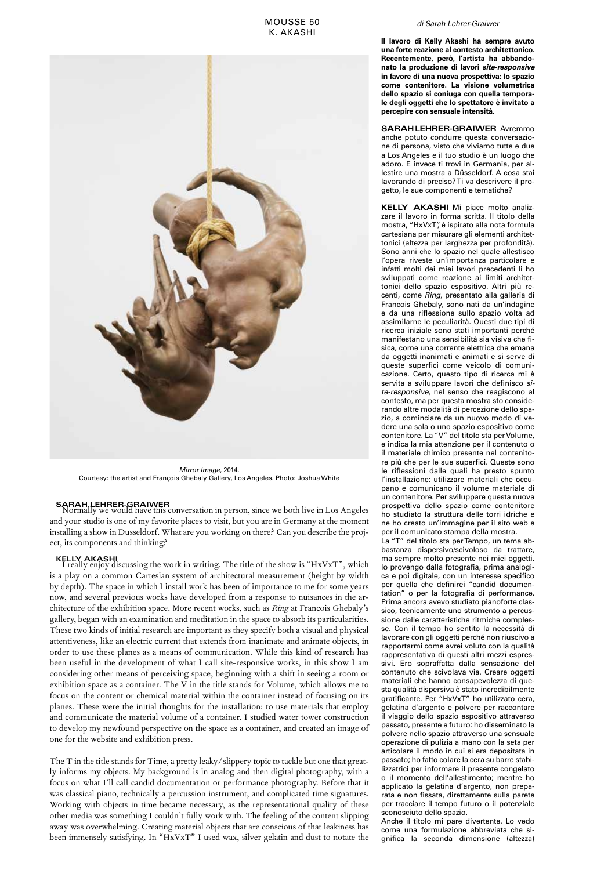

*Mirror Image*, 2014. Courtesy: the artist and François Ghebaly Gallery, Los Angeles. Photo: Joshua White

**SARAH LEHRER-GRAIWER**<br>Normally we would have this conversation in person, since we both live in Los Angeles and your studio is one of my favorite places to visit, but you are in Germany at the moment installing a show in Dusseldorf. What are you working on there? Can you describe the project, its components and thinking?

**KELLY AKASHI**<br>I really enjoy discussing the work in writing. The title of the show is "HxVxT", which is a play on a common Cartesian system of architectural measurement (height by width by depth). The space in which I install work has been of importance to me for some years now, and several previous works have developed from a response to nuisances in the architecture of the exhibition space. More recent works, such as *Ring* at Francois Ghebaly's gallery, began with an examination and meditation in the space to absorb its particularities. These two kinds of initial research are important as they specify both a visual and physical attentiveness, like an electric current that extends from inanimate and animate objects, in order to use these planes as a means of communication. While this kind of research has been useful in the development of what I call site-responsive works, in this show I am considering other means of perceiving space, beginning with a shift in seeing a room or exhibition space as a container. The V in the title stands for Volume, which allows me to focus on the content or chemical material within the container instead of focusing on its planes. These were the initial thoughts for the installation: to use materials that employ and communicate the material volume of a container. I studied water tower construction to develop my newfound perspective on the space as a container, and created an image of one for the website and exhibition press.

The T in the title stands for Time, a pretty leaky/slippery topic to tackle but one that greatly informs my objects. My background is in analog and then digital photography, with a focus on what I'll call candid documentation or performance photography. Before that it was classical piano, technically a percussion instrument, and complicated time signatures. Working with objects in time became necessary, as the representational quality of these other media was something I couldn't fully work with. The feeling of the content slipping away was overwhelming. Creating material objects that are conscious of that leakiness has been immensely satisfying. In "HxVxT" I used wax, silver gelatin and dust to notate the

## *di Sarah Lehrer-Graiwer*

**Il lavoro di Kelly Akashi ha sempre avuto una forte reazione al contesto architettonico. Recentemente, però, l'artista ha abbandonato la produzione di lavori** *site-responsive* **in favore di una nuova prospettiva: lo spazio come contenitore. La visione volumetrica dello spazio si coniuga con quella temporale degli oggetti che lo spettatore è invitato a percepire con sensuale intensità.**

**SARAH LEHRER-GRAIWER** Avremmo anche potuto condurre questa conversazione di persona, visto che viviamo tutte e due a Los Angeles e il tuo studio è un luogo che adoro. E invece ti trovi in Germania, per allestire una mostra a Düsseldorf. A cosa stai lavorando di preciso? Ti va descrivere il progetto, le sue componenti e tematiche?

**KELLY AKASHI** Mi piace molto analizzare il lavoro in forma scritta. Il titolo della mostra, "HxVxT", è ispirato alla nota formula cartesiana per misurare gli elementi architettonici (altezza per larghezza per profondità). Sono anni che lo spazio nel quale allestisco l'opera riveste un'importanza particolare e infatti molti dei miei lavori precedenti li ho sviluppati come reazione ai limiti architettonici dello spazio espositivo. Altri più recenti, come *Ring*, presentato alla galleria di Francois Ghebaly, sono nati da un'indagine e da una riflessione sullo spazio volta ad assimilarne le peculiarità. Questi due tipi di ricerca iniziale sono stati importanti perché manifestano una sensibilità sia visiva che fisica, come una corrente elettrica che emana da oggetti inanimati e animati e si serve di queste superfici come veicolo di comunicazione. Certo, questo tipo di ricerca mi è servita a sviluppare lavori che definisco *site-responsive*, nel senso che reagiscono al contesto, ma per questa mostra sto considerando altre modalità di percezione dello spazio, a cominciare da un nuovo modo di vedere una sala o uno spazio espositivo come contenitore. La "V" del titolo sta per Volume, e indica la mia attenzione per il contenuto o il materiale chimico presente nel contenitore più che per le sue superfici. Queste sono le riflessioni dalle quali ha presto spunto l'installazione: utilizzare materiali che occupano e comunicano il volume materiale di un contenitore. Per sviluppare questa nuova prospettiva dello spazio come contenitore ho studiato la struttura delle torri idriche e ne ho creato un'immagine per il sito web e per il comunicato stampa della mostra.

La "T" del titolo sta per Tempo, un tema abbastanza dispersivo/scivoloso da trattare, ma sempre molto presente nei miei oggetti. Io provengo dalla fotografia, prima analogica e poi digitale, con un interesse specifico per quella che definirei "candid documentation" o per la fotografia di performance. Prima ancora avevo studiato pianoforte classico, tecnicamente uno strumento a percussione dalle caratteristiche ritmiche complesse. Con il tempo ho sentito la necessità di lavorare con gli oggetti perché non riuscivo a rapportarmi come avrei voluto con la qualità rappresentativa di questi altri mezzi espressivi. Ero sopraffatta dalla sensazione del contenuto che scivolava via. Creare oggetti materiali che hanno consapevolezza di questa qualità dispersiva è stato incredibilmente gratificante. Per "HxVxT" ho utilizzato cera, gelatina d'argento e polvere per raccontare il viaggio dello spazio espositivo attraverso passato, presente e futuro: ho disseminato la polvere nello spazio attraverso una sensuale operazione di pulizia a mano con la seta per articolare il modo in cui si era depositata in passato; ho fatto colare la cera su barre stabilizzatrici per informare il presente congelato o il momento dell'allestimento; mentre ho applicato la gelatina d'argento, non preparata e non fissata, direttamente sulla parete per tracciare il tempo futuro o il potenziale sconosciuto dello spazio.

Anche il titolo mi pare divertente. Lo vedo come una formulazione abbreviata che significa la seconda dimensione (altezza)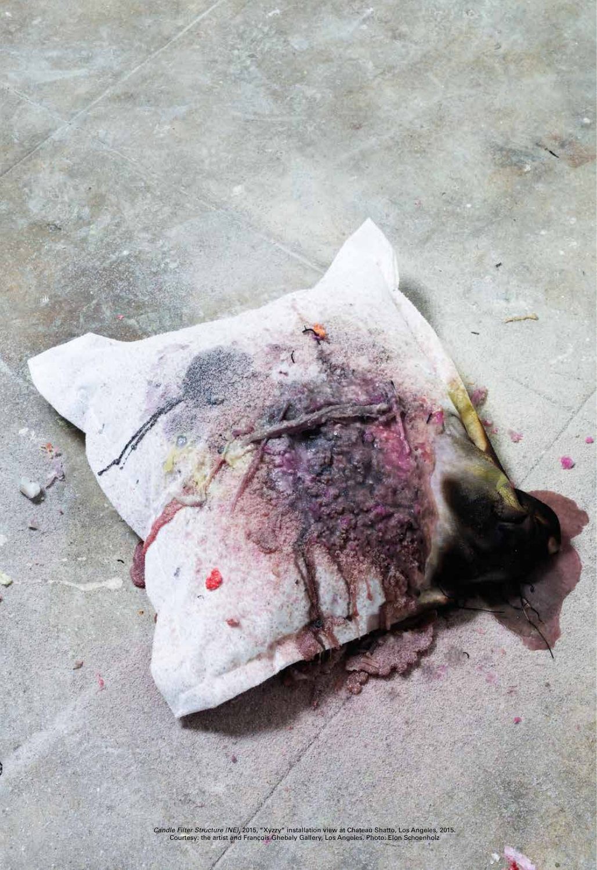*Candle Filter Structure (NE)*, 2015, "Xyzzy" installation view at Chateau Shatto, Los Angeles, 2015. Courtesy: the artist and François Ghebaly Gallery, Los Angeles. Photo: Elon Schoenholz

m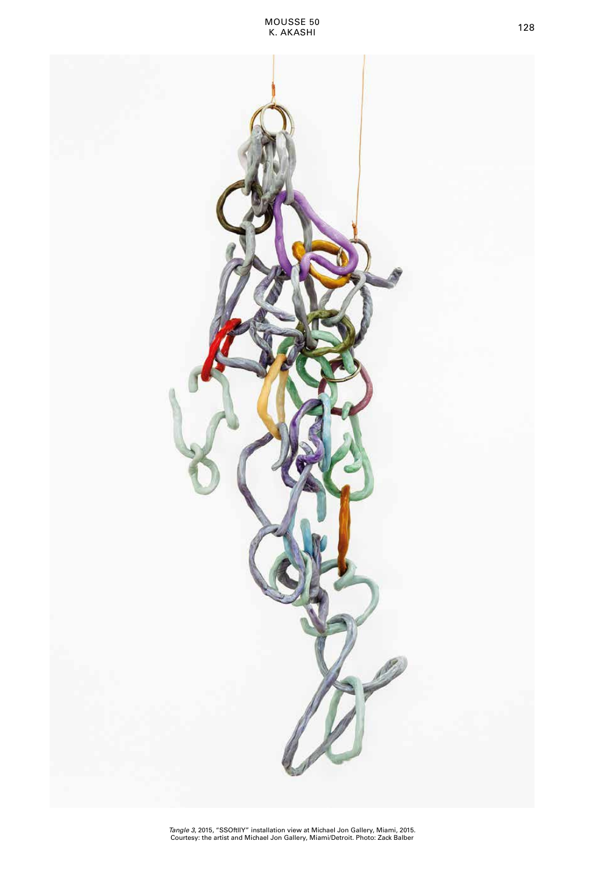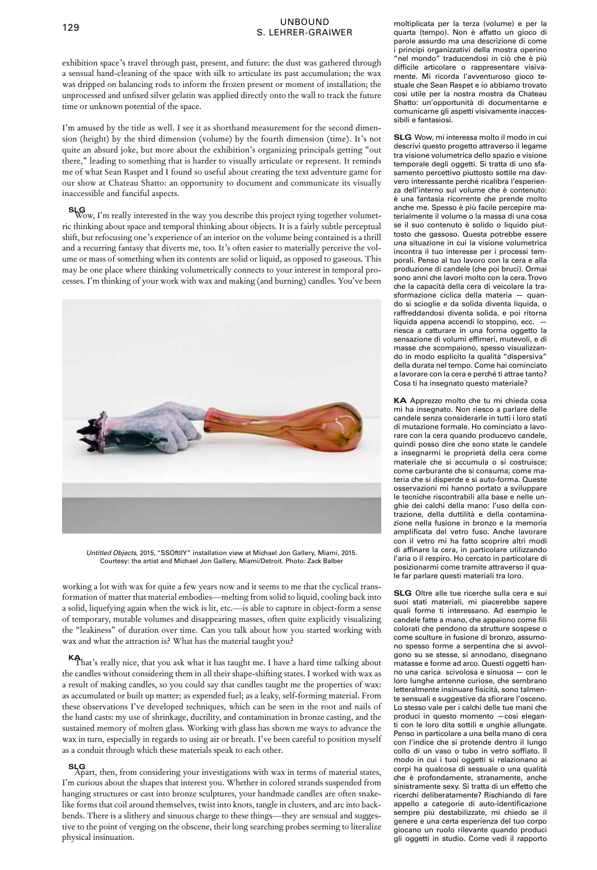## <sup>129</sup> UNBOUND S. LEHRER-GRAIWER

exhibition space's travel through past, present, and future: the dust was gathered through a sensual hand-cleaning of the space with silk to articulate its past accumulation; the wax was dripped on balancing rods to inform the frozen present or moment of installation; the unprocessed and unfixed silver gelatin was applied directly onto the wall to track the future time or unknown potential of the space.

I'm amused by the title as well. I see it as shorthand measurement for the second dimension (height) by the third dimension (volume) by the fourth dimension (time). It's not quite an absurd joke, but more about the exhibition's organizing principals getting "out there," leading to something that is harder to visually articulate or represent. It reminds me of what Sean Raspet and I found so useful about creating the text adventure game for our show at Chateau Shatto: an opportunity to document and communicate its visually inaccessible and fanciful aspects.

**SLG**Wow, I'm really interested in the way you describe this project tying together volumetric thinking about space and temporal thinking about objects. It is a fairly subtle perceptual shift, but refocusing one's experience of an interior on the volume being contained is a thrill and a recurring fantasy that diverts me, too. It's often easier to materially perceive the volume or mass of something when its contents are solid or liquid, as opposed to gaseous. This may be one place where thinking volumetrically connects to your interest in temporal processes. I'm thinking of your work with wax and making (and burning) candles. You've been



*Untitled Objects*, 2015, "SSOftllY" installation view at Michael Jon Gallery, Miami, 2015. Courtesy: the artist and Michael Jon Gallery, Miami/Detroit. Photo: Zack Balber

working a lot with wax for quite a few years now and it seems to me that the cyclical transformation of matter that material embodies—melting from solid to liquid, cooling back into a solid, liquefying again when the wick is lit, etc.—is able to capture in object-form a sense of temporary, mutable volumes and disappearing masses, often quite explicitly visualizing the "leakiness" of duration over time. Can you talk about how you started working with wax and what the attraction is? What has the material taught you?

**KA**That's really nice, that you ask what it has taught me. I have a hard time talking about the candles without considering them in all their shape-shifting states. I worked with wax as a result of making candles, so you could say that candles taught me the properties of wax: as accumulated or built up matter; as expended fuel; as a leaky, self-forming material. From these observations I've developed techniques, which can be seen in the root and nails of the hand casts: my use of shrinkage, ductility, and contamination in bronze casting, and the sustained memory of molten glass. Working with glass has shown me ways to advance the wax in turn, especially in regards to using air or breath. I've been careful to position myself as a conduit through which these materials speak to each other.

**SLG**<br>Apart, then, from considering your investigations with wax in terms of material states, I'm curious about the shapes that interest you. Whether in colored strands suspended from hanging structures or cast into bronze sculptures, your handmade candles are often snakelike forms that coil around themselves, twist into knots, tangle in clusters, and arc into backbends. There is a slithery and sinuous charge to these things—they are sensual and suggestive to the point of verging on the obscene, their long searching probes seeming to literalize physical insinuation.

moltiplicata per la terza (volume) e per la quarta (tempo). Non è affatto un gioco di parole assurdo ma una descrizione di come i principi organizzativi della mostra operino "nel mondo" traducendosi in ciò che è più difficile articolare o rappresentare visivamente. Mi ricorda l'avventuroso gioco testuale che Sean Raspet e io abbiamo trovato così utile per la nostra mostra da Chateau Shatto: un'opportunità di documentarne e comunicarne gli aspetti visivamente inaccessibili e fantasiosi.

**SLG** Wow, mi interessa molto il modo in cui descrivi questo progetto attraverso il legame tra visione volumetrica dello spazio e visione temporale degli oggetti. Si tratta di uno sfasamento percettivo piuttosto sottile ma davvero interessante perché ricalibra l'esperienza dell'interno sul volume che è contenuto: è una fantasia ricorrente che prende molto anche me. Spesso è più facile percepire materialmente il volume o la massa di una cosa se il suo contenuto è solido o liquido piuttosto che gassoso. Questa potrebbe essere una situazione in cui la visione volumetrica incontra il tuo interesse per i processi temporali. Penso al tuo lavoro con la cera e alla produzione di candele (che poi bruci). Ormai sono anni che lavori molto con la cera. Trovo che la capacità della cera di veicolare la trasformazione ciclica della materia — quando si scioglie e da solida diventa liquida, o raffreddandosi diventa solida, e poi ritorna liquida appena accendi lo stoppino, ecc. riesca a catturare in una forma oggetto la sensazione di volumi effimeri, mutevoli, e di masse che scompaiono, spesso visualizzando in modo esplicito la qualità "dispersiva" della durata nel tempo. Come hai cominciato a lavorare con la cera e perché ti attrae tanto? Cosa ti ha insegnato questo materiale?

**KA** Apprezzo molto che tu mi chieda cosa mi ha insegnato. Non riesco a parlare delle candele senza considerarle in tutti i loro stati di mutazione formale. Ho cominciato a lavorare con la cera quando producevo candele, quindi posso dire che sono state le candele a insegnarmi le proprietà della cera come materiale che si accumula o si costruisce; come carburante che si consuma; come materia che si disperde e si auto-forma. Queste osservazioni mi hanno portato a sviluppare le tecniche riscontrabili alla base e nelle unghie dei calchi della mano: l'uso della contrazione, della duttilità e della contaminazione nella fusione in bronzo e la memoria amplificata del vetro fuso. Anche lavorare con il vetro mi ha fatto scoprire altri modi di affinare la cera, in particolare utilizzando l'aria o il respiro. Ho cercato in particolare di posizionarmi come tramite attraverso il quale far parlare questi materiali tra loro.

**SLG** Oltre alle tue ricerche sulla cera e sui suoi stati materiali, mi piacerebbe sapere quali forme ti interessano. Ad esempio le candele fatte a mano, che appaiono come fili colorati che pendono da strutture sospese o come sculture in fusione di bronzo, assumono spesso forme a serpentina che si avvolgono su se stesse, si annodano, disegnano matasse e forme ad arco. Questi oggetti hanno una carica scivolosa e sinuosa — con le loro lunghe antenne curiose, che sembrano letteralmente insinuare fisicità, sono talmente sensuali e suggestive da sfiorare l'osceno. Lo stesso vale per i calchi delle tue mani che produci in questo momento —così eleganti con le loro dita sottili e unghie allungate. Penso in particolare a una bella mano di cera con l'indice che si protende dentro il lungo collo di un vaso o tubo in vetro soffiato. Il modo in cui i tuoi oggetti si relazionano ai corpi ha qualcosa di sessuale o una qualità che è profondamente, stranamente, anche sinistramente sexy. Si tratta di un effetto che ricerchi deliberatamente? Rischiando di fare appello a categorie di auto-identificazione sempre più destabilizzate, mi chiedo se il genere e una certa esperienza del tuo corpo giocano un ruolo rilevante quando produci gli oggetti in studio. Come vedi il rapporto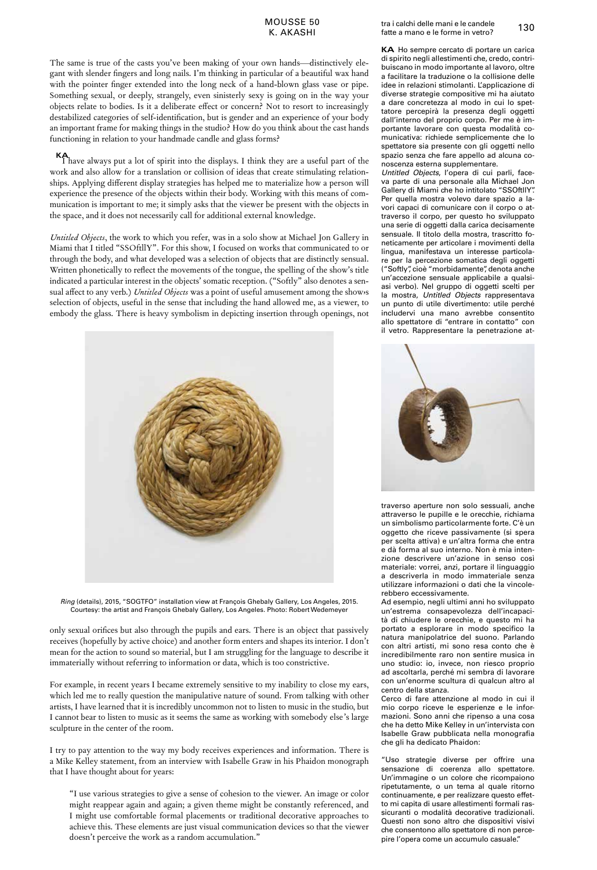## K. AKASHI

The same is true of the casts you've been making of your own hands—distinctively elegant with slender fingers and long nails. I'm thinking in particular of a beautiful wax hand with the pointer finger extended into the long neck of a hand-blown glass vase or pipe. Something sexual, or deeply, strangely, even sinisterly sexy is going on in the way your objects relate to bodies. Is it a deliberate effect or concern? Not to resort to increasingly destabilized categories of self-identification, but is gender and an experience of your body an important frame for making things in the studio? How do you think about the cast hands functioning in relation to your handmade candle and glass forms?

**KA** have always put a lot of spirit into the displays. I think they are a useful part of the work and also allow for a translation or collision of ideas that create stimulating relationships. Applying different display strategies has helped me to materialize how a person will experience the presence of the objects within their body. Working with this means of communication is important to me; it simply asks that the viewer be present with the objects in the space, and it does not necessarily call for additional external knowledge.

*Untitled Objects*, the work to which you refer, was in a solo show at Michael Jon Gallery in Miami that I titled "SSOftllY". For this show, I focused on works that communicated to or through the body, and what developed was a selection of objects that are distinctly sensual. Written phonetically to reflect the movements of the tongue, the spelling of the show's title indicated a particular interest in the objects' somatic reception. ("Softly" also denotes a sensual affect to any verb.) *Untitled Objects* was a point of useful amusement among the show›s selection of objects, useful in the sense that including the hand allowed me, as a viewer, to embody the glass. There is heavy symbolism in depicting insertion through openings, not



*Ring* (details), 2015, "SOGTFO" installation view at François Ghebaly Gallery, Los Angeles, 2015. Courtesy: the artist and François Ghebaly Gallery, Los Angeles. Photo: Robert Wedemeyer

only sexual orifices but also through the pupils and ears. There is an object that passively receives (hopefully by active choice) and another form enters and shapes its interior. I don't mean for the action to sound so material, but I am struggling for the language to describe it immaterially without referring to information or data, which is too constrictive.

For example, in recent years I became extremely sensitive to my inability to close my ears, which led me to really question the manipulative nature of sound. From talking with other artists, I have learned that it is incredibly uncommon not to listen to music in the studio, but I cannot bear to listen to music as it seems the same as working with somebody else's large sculpture in the center of the room.

I try to pay attention to the way my body receives experiences and information. There is a Mike Kelley statement, from an interview with Isabelle Graw in his Phaidon monograph that I have thought about for years:

"I use various strategies to give a sense of cohesion to the viewer. An image or color might reappear again and again; a given theme might be constantly referenced, and I might use comfortable formal placements or traditional decorative approaches to achieve this. These elements are just visual communication devices so that the viewer doesn't perceive the work as a random accumulation."

**KA** Ho sempre cercato di portare un carica di spirito negli allestimenti che, credo, contribuiscano in modo importante al lavoro, oltre a facilitare la traduzione o la collisione delle idee in relazioni stimolanti. L'applicazione di diverse strategie compositive mi ha aiutato a dare concretezza al modo in cui lo spettatore percepirà la presenza degli oggetti dall'interno del proprio corpo. Per me è importante lavorare con questa modalità comunicativa: richiede semplicemente che lo spettatore sia presente con gli oggetti nello spazio senza che fare appello ad alcuna conoscenza esterna supplementare.

*Untitled Objects*, l'opera di cui parli, faceva parte di una personale alla Michael Jon Gallery di Miami che ho intitolato "SSOftllY". Per quella mostra volevo dare spazio a lavori capaci di comunicare con il corpo o attraverso il corpo, per questo ho sviluppato una serie di oggetti dalla carica decisamente sensuale. Il titolo della mostra, trascritto foneticamente per articolare i movimenti della lingua, manifestava un interesse particolare per la percezione somatica degli oggetti ("Softly", cioè "morbidamente", denota anche un'accezione sensuale applicabile a qualsiasi verbo). Nel gruppo di oggetti scelti per la mostra, *Untitled Objects*  rappresentava un punto di utile divertimento: utile perché includervi una mano avrebbe consentito allo spettatore di "entrare in contatto" con il vetro. Rappresentare la penetrazione at-



traverso aperture non solo sessuali, anche attraverso le pupille e le orecchie, richiama un simbolismo particolarmente forte. C'è un oggetto che riceve passivamente (si spera per scelta attiva) e un'altra forma che entra e dà forma al suo interno. Non è mia intenzione descrivere un'azione in senso così materiale: vorrei, anzi, portare il linguaggio a descriverla in modo immateriale senza utilizzare informazioni o dati che la vincolerebbero eccessivamente.

Ad esempio, negli ultimi anni ho sviluppato un'estrema consapevolezza dell'incapacità di chiudere le orecchie, e questo mi ha portato a esplorare in modo specifico la natura manipolatrice del suono. Parlando con altri artisti, mi sono resa conto che è incredibilmente raro non sentire musica in uno studio: io, invece, non riesco proprio ad ascoltarla, perché mi sembra di lavorare con un'enorme scultura di qualcun altro al centro della stanza.

Cerco di fare attenzione al modo in cui il mio corpo riceve le esperienze e le informazioni. Sono anni che ripenso a una cosa che ha detto Mike Kelley in un'intervista con Isabelle Graw pubblicata nella monografia che gli ha dedicato Phaidon:

"Uso strategie diverse per offrire una sensazione di coerenza allo spettatore. Un'immagine o un colore che ricompaiono ripetutamente, o un tema al quale ritorno continuamente, e per realizzare questo effetto mi capita di usare allestimenti formali rassicuranti o modalità decorative tradizionali. Questi non sono altro che dispositivi visivi che consentono allo spettatore di non percepire l'opera come un accumulo casuale."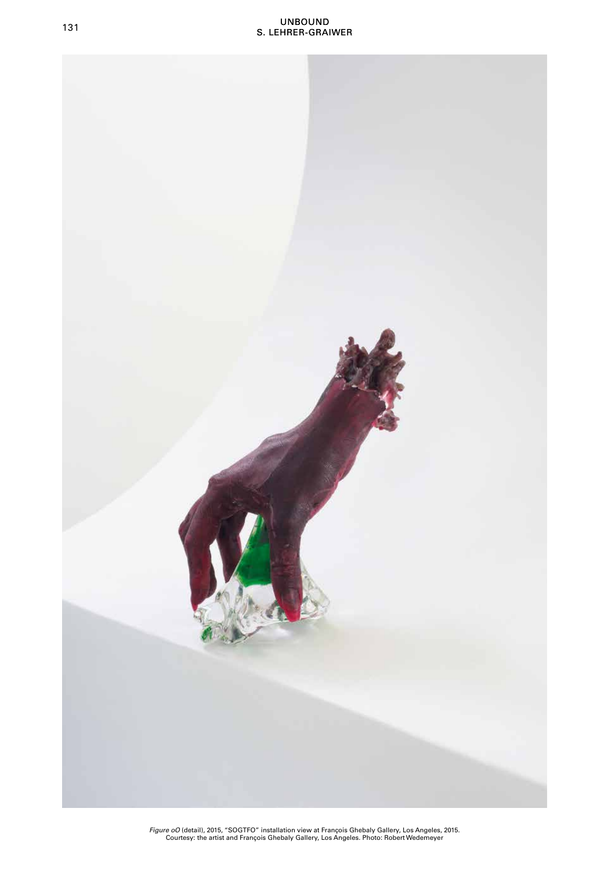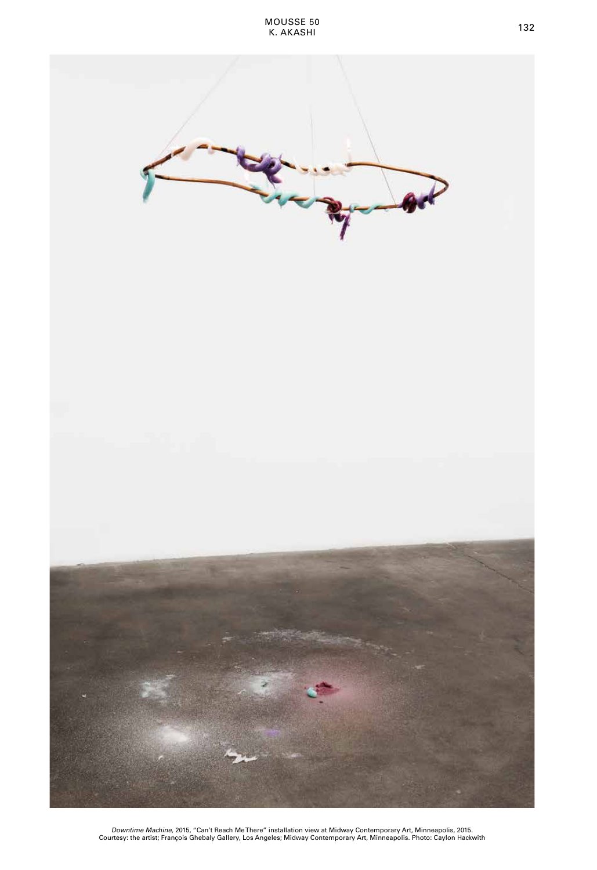

*Downtime Machine*, 2015, "Can't Reach Me There" installation view at Midway Contemporary Art, Minneapolis, 2015. Courtesy: the artist; François Ghebaly Gallery, Los Angeles; Midway Contemporary Art, Minneapolis. Photo: Caylon Hackwith